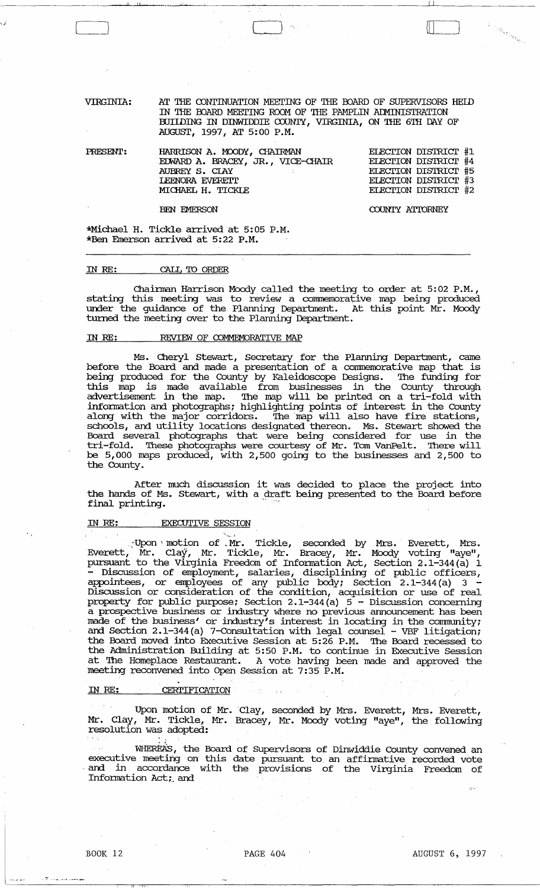VIRGINIA: AT THE CONTINUATION MEETING OF THE BOARD OF SUPERVISORS HEID IN THE OOARD MEEI'ING ROCM OF THE PAMPLIN ArMINISTRATION BUIIDING IN DINWIDDIE COUNTY, VIRGINIA, ON THE 6TH DAY OF AUGUST, 1997, AT 5:00 P.M.

llumibermannas complimatorial component completed at property and property of the component component component of the compo

| PRESENT: | HARRISON A. MOODY, CHAIRMAN       | ELECTION DISTRICT #1        |
|----------|-----------------------------------|-----------------------------|
|          | EDWARD A. BRACEY, JR., VICE-CHAIR | ELECTION DISTRICT #4        |
|          | AUBREY S. CLAY                    | <b>ELECTION DISTRICT #5</b> |
|          | <b>IEENORA EVERETT</b>            | ELECTION DISTRICT #3        |
|          | MICHAEL H. TICKIE                 | ELECTION DISTRICT #2        |

BEN EMERSON

COUNTY ATIORNEY

**Description** 

\*Michael H. Tickle arrived at 5:05 P.M. \*Ben Emerson arrived at 5:22 P.M.

## IN RE: CALL TO ORDER

*·.,i* 

Chairman Harrison Moody called the meeting to order at 5: 02 P.M., stating this meeting was to review a commemorative map being produced under the guidance of the Planning Department. At this point Mr. Moody turned the meeting over to the Planning Department.

## IN RE: REVIEW OF COMMEMORATIVE MAP

Ms. Cheryl Stewart, Secretary for the Planning Department, came before the Board and made a presentation of a commemorative map that is being produced for the County by Kaleidoscope Designs. The funding for this map is made available from businesses in the County through advertisement in the map. The map will be printed on a tri-fold with information and photographs; highlighting points of interest in the County along with the major corridors. The map will also have fire stations, schools, and utility locations designated thereon. Ms. Stewart showed the Board several photographs that were being considered for use in the tri-fold. '!hese photographs were courtesy of Mr. Tom VanPelt. '!here will be 5,000 maps produced, with 2,500 going to the businesses and 2,500 to the County. Board several photographs that were be<br>tri-fold. These photographs were courtesy<br>be 5,000 maps produced, with 2,500 going<br>the County.<br>After much discussion it was de<br>the hands of Ms. Stewart, with a draft be:<br>final printin

After mudh discussion it was decided to place the project into the hands of Ms. Stewart, with a draft being presented to the Board before final printing.

# IN RE: EXECUTIVE SESSION

. Upon motion of Mr. Tickle, seconded by Mrs. Everett, Mrs. Everett, Mr. Clay, Mr. Tickle, Mr. Bracey, Mr. Moody voting "aye", pursuant to the Virginia Freedom of Information Act, Section 2.1-344(a) 1 - Discussion of employment, salaries, disciplining of public officers, appointees, or employees of any public body; Section  $2.1-344$  (a)  $3-$ Discussion or consideration of the condition, acquisition or use of real property for public purpose; Section 2.1-344(a) 5 - Discussion concerning a prospective business or industry where no previous announcement has been made of the business' or industry's interest in locating in the community; and Section 2.1-344(a) 7-Consultation with legal counsel - VBF litigation; the Board moved into Executive Session at 5:26 P.M. '!he Board recessed to the Board moved into Executive Session at 5:26 P.M. The Board recessed to the Administration Building at 5:50 P.M. to continue in Executive Session at The Homeplace Restaurant. A vote having been made and approved the meeting reconvened into Open Session at 7:35 P.M.

## IN RE: CERTIFICATION

Upon motion of Mr. Clay, seconded by Mrs. Everett, Mrs. Everett, Mr. Clay, Mr. Tickle, Mr. Bracey, Mr. Moody voting "aye", the following resolution was adopted:

 $\sim$  1

in 18

WHEREA'S, the Board of Supervisors of Dinwiddie County convened an executive meeting on this date pursuant to an affirmative recorded vote and in accordance with the provisions of the Virginia Freedom of Information Act; and

i<del>i ito</del>

...... \_., .. "-~-.

<sup>~</sup>I -. " ~ .• !

':;-